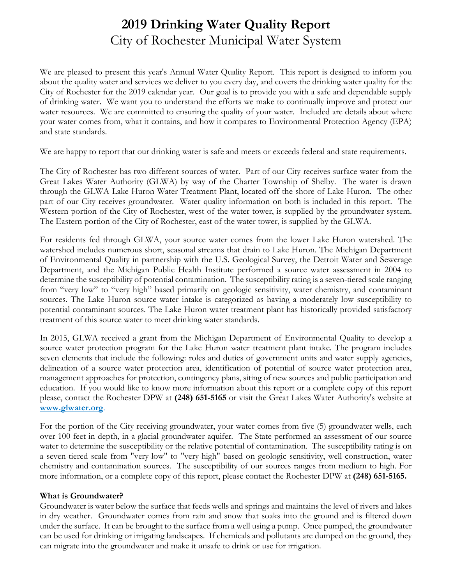## **2019 Drinking Water Quality Report** City of Rochester Municipal Water System

We are pleased to present this year's Annual Water Quality Report. This report is designed to inform you about the quality water and services we deliver to you every day, and covers the drinking water quality for the City of Rochester for the 2019 calendar year. Our goal is to provide you with a safe and dependable supply of drinking water. We want you to understand the efforts we make to continually improve and protect our water resources. We are committed to ensuring the quality of your water. Included are details about where your water comes from, what it contains, and how it compares to Environmental Protection Agency (EPA) and state standards.

We are happy to report that our drinking water is safe and meets or exceeds federal and state requirements.

The City of Rochester has two different sources of water. Part of our City receives surface water from the Great Lakes Water Authority (GLWA) by way of the Charter Township of Shelby. The water is drawn through the GLWA Lake Huron Water Treatment Plant, located off the shore of Lake Huron. The other part of our City receives groundwater. Water quality information on both is included in this report. The Western portion of the City of Rochester, west of the water tower, is supplied by the groundwater system. The Eastern portion of the City of Rochester, east of the water tower, is supplied by the GLWA.

For residents fed through GLWA, your source water comes from the lower Lake Huron watershed. The watershed includes numerous short, seasonal streams that drain to Lake Huron. The Michigan Department of Environmental Quality in partnership with the U.S. Geological Survey, the Detroit Water and Sewerage Department, and the Michigan Public Health Institute performed a source water assessment in 2004 to determine the susceptibility of potential contamination. The susceptibility rating is a seven-tiered scale ranging from "very low" to "very high" based primarily on geologic sensitivity, water chemistry, and contaminant sources. The Lake Huron source water intake is categorized as having a moderately low susceptibility to potential contaminant sources. The Lake Huron water treatment plant has historically provided satisfactory treatment of this source water to meet drinking water standards.

In 2015, GLWA received a grant from the Michigan Department of Environmental Quality to develop a source water protection program for the Lake Huron water treatment plant intake. The program includes seven elements that include the following: roles and duties of government units and water supply agencies, delineation of a source water protection area, identification of potential of source water protection area, management approaches for protection, contingency plans, siting of new sources and public participation and education. If you would like to know more information about this report or a complete copy of this report please, contact the Rochester DPW at **(248) 651-5165** or visit the Great Lakes Water Authority's website at **www.glwater.org**.

For the portion of the City receiving groundwater, your water comes from five (5) groundwater wells, each over 100 feet in depth, in a glacial groundwater aquifer. The State performed an assessment of our source water to determine the susceptibility or the relative potential of contamination. The susceptibility rating is on a seven-tiered scale from "very-low" to "very-high" based on geologic sensitivity, well construction, water chemistry and contamination sources. The susceptibility of our sources ranges from medium to high. For more information, or a complete copy of this report, please contact the Rochester DPW at **(248) 651-5165.** 

#### **What is Groundwater?**

Groundwater is water below the surface that feeds wells and springs and maintains the level of rivers and lakes in dry weather. Groundwater comes from rain and snow that soaks into the ground and is filtered down under the surface. It can be brought to the surface from a well using a pump. Once pumped, the groundwater can be used for drinking or irrigating landscapes. If chemicals and pollutants are dumped on the ground, they can migrate into the groundwater and make it unsafe to drink or use for irrigation.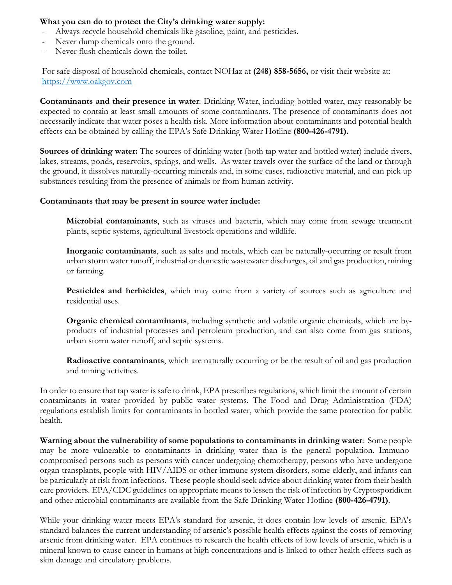#### **What you can do to protect the City's drinking water supply:**

- Always recycle household chemicals like gasoline, paint, and pesticides.
- Never dump chemicals onto the ground.
- Never flush chemicals down the toilet.

For safe disposal of household chemicals, contact NOHaz at **(248) 858-5656,** or visit their website at: https://www.oakgov.com

**Contaminants and their presence in water**: Drinking Water, including bottled water, may reasonably be expected to contain at least small amounts of some contaminants. The presence of contaminants does not necessarily indicate that water poses a health risk. More information about contaminants and potential health effects can be obtained by calling the EPA's Safe Drinking Water Hotline **(800-426-4791).** 

**Sources of drinking water:** The sources of drinking water (both tap water and bottled water) include rivers, lakes, streams, ponds, reservoirs, springs, and wells. As water travels over the surface of the land or through the ground, it dissolves naturally-occurring minerals and, in some cases, radioactive material, and can pick up substances resulting from the presence of animals or from human activity.

#### **Contaminants that may be present in source water include:**

**Microbial contaminants**, such as viruses and bacteria, which may come from sewage treatment plants, septic systems, agricultural livestock operations and wildlife.

**Inorganic contaminants**, such as salts and metals, which can be naturally-occurring or result from urban storm water runoff, industrial or domestic wastewater discharges, oil and gas production, mining or farming.

**Pesticides and herbicides**, which may come from a variety of sources such as agriculture and residential uses.

**Organic chemical contaminants**, including synthetic and volatile organic chemicals, which are byproducts of industrial processes and petroleum production, and can also come from gas stations, urban storm water runoff, and septic systems.

**Radioactive contaminants**, which are naturally occurring or be the result of oil and gas production and mining activities.

In order to ensure that tap water is safe to drink, EPA prescribes regulations, which limit the amount of certain contaminants in water provided by public water systems. The Food and Drug Administration (FDA) regulations establish limits for contaminants in bottled water, which provide the same protection for public health.

**Warning about the vulnerability of some populations to contaminants in drinking water**: Some people may be more vulnerable to contaminants in drinking water than is the general population. Immunocompromised persons such as persons with cancer undergoing chemotherapy, persons who have undergone organ transplants, people with HIV/AIDS or other immune system disorders, some elderly, and infants can be particularly at risk from infections. These people should seek advice about drinking water from their health care providers. EPA/CDC guidelines on appropriate means to lessen the risk of infection by Cryptosporidium and other microbial contaminants are available from the Safe Drinking Water Hotline **(800-426-4791)**.

While your drinking water meets EPA's standard for arsenic, it does contain low levels of arsenic. EPA's standard balances the current understanding of arsenic's possible health effects against the costs of removing arsenic from drinking water. EPA continues to research the health effects of low levels of arsenic, which is a mineral known to cause cancer in humans at high concentrations and is linked to other health effects such as skin damage and circulatory problems.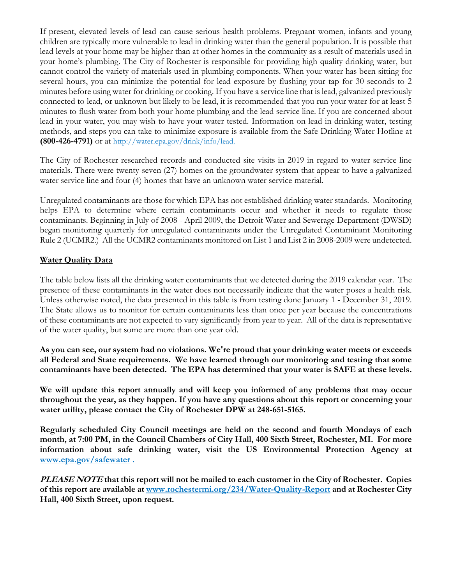If present, elevated levels of lead can cause serious health problems. Pregnant women, infants and young children are typically more vulnerable to lead in drinking water than the general population. It is possible that lead levels at your home may be higher than at other homes in the community as a result of materials used in your home's plumbing. The City of Rochester is responsible for providing high quality drinking water, but cannot control the variety of materials used in plumbing components. When your water has been sitting for several hours, you can minimize the potential for lead exposure by flushing your tap for 30 seconds to 2 minutes before using water for drinking or cooking. If you have a service line that is lead, galvanized previously connected to lead, or unknown but likely to be lead, it is recommended that you run your water for at least 5 minutes to flush water from both your home plumbing and the lead service line. If you are concerned about lead in your water, you may wish to have your water tested. Information on lead in drinking water, testing methods, and steps you can take to minimize exposure is available from the Safe Drinking Water Hotline at **(800-426-4791)** or at http://water.epa.gov/drink/info/lead.

The City of Rochester researched records and conducted site visits in 2019 in regard to water service line materials. There were twenty-seven (27) homes on the groundwater system that appear to have a galvanized water service line and four (4) homes that have an unknown water service material.

Unregulated contaminants are those for which EPA has not established drinking water standards. Monitoring helps EPA to determine where certain contaminants occur and whether it needs to regulate those contaminants. Beginning in July of 2008 - April 2009, the Detroit Water and Sewerage Department (DWSD) began monitoring quarterly for unregulated contaminants under the Unregulated Contaminant Monitoring Rule 2 (UCMR2.) All the UCMR2 contaminants monitored on List 1 and List 2 in 2008-2009 were undetected.

#### **Water Quality Data**

The table below lists all the drinking water contaminants that we detected during the 2019 calendar year. The presence of these contaminants in the water does not necessarily indicate that the water poses a health risk. Unless otherwise noted, the data presented in this table is from testing done January 1 - December 31, 2019. The State allows us to monitor for certain contaminants less than once per year because the concentrations of these contaminants are not expected to vary significantly from year to year. All of the data is representative of the water quality, but some are more than one year old.

**As you can see, our system had no violations. We're proud that your drinking water meets or exceeds all Federal and State requirements. We have learned through our monitoring and testing that some contaminants have been detected. The EPA has determined that your water is SAFE at these levels.** 

**We will update this report annually and will keep you informed of any problems that may occur throughout the year, as they happen. If you have any questions about this report or concerning your water utility, please contact the City of Rochester DPW at 248-651-5165.** 

**Regularly scheduled City Council meetings are held on the second and fourth Mondays of each month, at 7:00 PM, in the Council Chambers of City Hall, 400 Sixth Street, Rochester, MI. For more information about safe drinking water, visit the US Environmental Protection Agency at www.epa.gov/safewater .** 

**PLEASE NOTE that this report will not be mailed to each customer in the City of Rochester. Copies of this report are available at www.rochestermi.org/234/Water-Quality-Report and at Rochester City Hall, 400 Sixth Street, upon request.**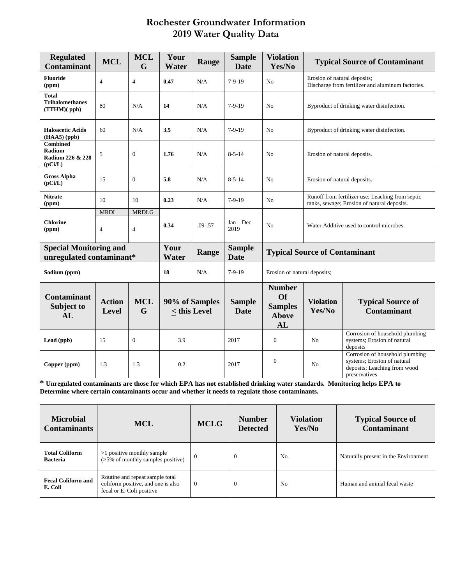### **Rochester Groundwater Information 2019 Water Quality Data**

| <b>Regulated</b><br><b>Contaminant</b>                    | <b>MCL</b>                    | <b>MCL</b><br>G                | Your<br>Water                  | Range       | <b>Sample</b><br><b>Date</b> | <b>Violation</b><br>Yes/No                                         |                                                                                                 | <b>Typical Source of Contaminant</b>                                                                            |  |
|-----------------------------------------------------------|-------------------------------|--------------------------------|--------------------------------|-------------|------------------------------|--------------------------------------------------------------------|-------------------------------------------------------------------------------------------------|-----------------------------------------------------------------------------------------------------------------|--|
| <b>Fluoride</b><br>(ppm)                                  | $\overline{4}$                | $\overline{4}$                 | 0.47                           | N/A         | $7-9-19$                     | N <sub>0</sub>                                                     | Erosion of natural deposits;<br>Discharge from fertilizer and aluminum factories.               |                                                                                                                 |  |
| <b>Total</b><br><b>Trihalomethanes</b><br>(TTHM)(ppb)     | 80                            | N/A                            | 14                             | N/A         | $7-9-19$                     | No                                                                 | Byproduct of drinking water disinfection.                                                       |                                                                                                                 |  |
| <b>Haloacetic Acids</b><br>(HAA5) (ppb)                   | 60                            | N/A                            | 3.5                            | N/A         | $7-9-19$                     | N <sub>0</sub>                                                     |                                                                                                 | Byproduct of drinking water disinfection.                                                                       |  |
| <b>Combined</b><br>Radium<br>Radium 226 & 228<br>(pCi/L)  | 5                             | $\mathbf{0}$                   | 1.76                           | N/A         | $8 - 5 - 14$                 | N <sub>0</sub>                                                     | Erosion of natural deposits.                                                                    |                                                                                                                 |  |
| <b>Gross Alpha</b><br>(pCi/L)                             | 15                            | $\mathbf{0}$                   | 5.8                            | N/A         | $8 - 5 - 14$                 | N <sub>0</sub>                                                     | Erosion of natural deposits.                                                                    |                                                                                                                 |  |
| <b>Nitrate</b><br>(ppm)                                   | 10                            | 10                             | 0.23                           | N/A         | $7-9-19$                     | N <sub>0</sub>                                                     | Runoff from fertilizer use; Leaching from septic<br>tanks, sewage; Erosion of natural deposits. |                                                                                                                 |  |
| <b>Chlorine</b><br>(ppm)                                  | <b>MRDL</b><br>$\overline{4}$ | <b>MRDLG</b><br>$\overline{4}$ | 0.34                           | $.09 - .57$ | $Jan - Dec$<br>2019          | No                                                                 | Water Additive used to control microbes.                                                        |                                                                                                                 |  |
| <b>Special Monitoring and</b><br>unregulated contaminant* |                               |                                | Your<br>Water                  | Range       | <b>Sample</b><br><b>Date</b> | <b>Typical Source of Contaminant</b>                               |                                                                                                 |                                                                                                                 |  |
| Sodium (ppm)                                              |                               |                                | 18                             | N/A         | $7-9-19$                     | Erosion of natural deposits;                                       |                                                                                                 |                                                                                                                 |  |
| <b>Contaminant</b><br>Subject to<br>AL                    | <b>Action</b><br><b>Level</b> | <b>MCL</b><br>G                | 90% of Samples<br>< this Level |             | <b>Sample</b><br><b>Date</b> | <b>Number</b><br><b>Of</b><br><b>Samples</b><br><b>Above</b><br>AL | <b>Violation</b><br>Yes/No                                                                      | <b>Typical Source of</b><br><b>Contaminant</b>                                                                  |  |
| Lead (ppb)                                                | 15                            | $\mathbf{0}$                   | 3.9                            |             | 2017                         | $\mathbf{0}$                                                       | N <sub>0</sub>                                                                                  | Corrosion of household plumbing<br>systems; Erosion of natural<br>deposits                                      |  |
| Copper (ppm)                                              | 1.3                           | 1.3                            | 0.2                            |             | 2017                         | $\overline{0}$                                                     | N <sub>0</sub>                                                                                  | Corrosion of household plumbing<br>systems; Erosion of natural<br>deposits; Leaching from wood<br>preservatives |  |

**\* Unregulated contaminants are those for which EPA has not established drinking water standards. Monitoring helps EPA to Determine where certain contaminants occur and whether it needs to regulate those contaminants.**

| <b>Microbial</b><br><b>Contaminants</b>  | <b>MCL</b>                                                                                         | <b>MCLG</b> | <b>Number</b><br><b>Detected</b> | <b>Violation</b><br>Yes/No | <b>Typical Source of</b><br><b>Contaminant</b> |
|------------------------------------------|----------------------------------------------------------------------------------------------------|-------------|----------------------------------|----------------------------|------------------------------------------------|
| <b>Total Coliform</b><br><b>Bacteria</b> | >1 positive monthly sample<br>$($ >5% of monthly samples positive)                                 | $\theta$    | $\theta$                         | N <sub>0</sub>             | Naturally present in the Environment           |
| <b>Fecal Coliform and</b><br>E. Coli     | Routine and repeat sample total<br>coliform positive, and one is also<br>fecal or E. Coli positive | $\Omega$    | $\Omega$                         | N <sub>0</sub>             | Human and animal fecal waste                   |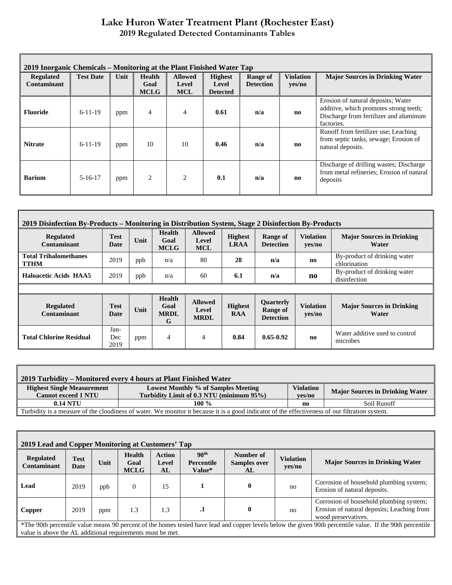#### **Lake Huron Water Treatment Plant (Rochester East) 2019 Regulated Detected Contaminants Tables**

| 2019 Inorganic Chemicals – Monitoring at the Plant Finished Water Tap |                  |      |                                      |                                       |                                            |                                     |                            |                                                                                                                                      |  |
|-----------------------------------------------------------------------|------------------|------|--------------------------------------|---------------------------------------|--------------------------------------------|-------------------------------------|----------------------------|--------------------------------------------------------------------------------------------------------------------------------------|--|
| <b>Regulated</b><br>Contaminant                                       | <b>Test Date</b> | Unit | <b>Health</b><br>Goal<br><b>MCLG</b> | <b>Allowed</b><br>Level<br><b>MCL</b> | <b>Highest</b><br>Level<br><b>Detected</b> | <b>Range of</b><br><b>Detection</b> | <b>Violation</b><br>yes/no | <b>Major Sources in Drinking Water</b>                                                                                               |  |
| Fluoride                                                              | $6-11-19$        | ppm  | $\overline{4}$                       | 4                                     | 0.61                                       | n/a                                 | no                         | Erosion of natural deposits; Water<br>additive, which promotes strong teeth;<br>Discharge from fertilizer and aluminum<br>factories. |  |
| <b>Nitrate</b>                                                        | $6 - 11 - 19$    | ppm  | 10                                   | 10                                    | 0.46                                       | n/a                                 | no                         | Runoff from fertilizer use; Leaching<br>from septic tanks, sewage; Erosion of<br>natural deposits.                                   |  |
| <b>Barium</b>                                                         | $5 - 16 - 17$    | ppm  | 2                                    | $\overline{c}$                        | 0.1                                        | n/a                                 | n <sub>0</sub>             | Discharge of drilling wastes; Discharge<br>from metal refineries; Erosion of natural<br>deposits                                     |  |

| 2019 Disinfection By-Products – Monitoring in Distribution System, Stage 2 Disinfection By-Products |                     |      |                                           |                                        |                               |                                                  |                            |                                              |
|-----------------------------------------------------------------------------------------------------|---------------------|------|-------------------------------------------|----------------------------------------|-------------------------------|--------------------------------------------------|----------------------------|----------------------------------------------|
| <b>Regulated</b><br>Contaminant                                                                     | Test<br>Date        | Unit | <b>Health</b><br>Goal<br><b>MCLG</b>      | <b>Allowed</b><br>Level<br><b>MCL</b>  | <b>Highest</b><br><b>LRAA</b> | Range of<br><b>Detection</b>                     | <b>Violation</b><br>yes/no | <b>Major Sources in Drinking</b><br>Water    |
| <b>Total Trihalomethanes</b><br><b>TTHM</b>                                                         | 2019                | ppb  | n/a                                       | 80                                     | 28                            | n/a                                              | no                         | By-product of drinking water<br>chlorination |
| <b>Haloacetic Acids HAA5</b>                                                                        | 2019                | ppb  | n/a                                       | 60                                     | 6.1                           | n/a                                              | $\mathbf{n}\mathbf{o}$     | By-product of drinking water<br>disinfection |
|                                                                                                     |                     |      |                                           |                                        |                               |                                                  |                            |                                              |
| <b>Regulated</b><br>Contaminant                                                                     | Test<br>Date        | Unit | <b>Health</b><br>Goal<br><b>MRDL</b><br>G | <b>Allowed</b><br>Level<br><b>MRDL</b> | <b>Highest</b><br><b>RAA</b>  | <b>Ouarterly</b><br>Range of<br><b>Detection</b> | <b>Violation</b><br>yes/no | <b>Major Sources in Drinking</b><br>Water    |
| <b>Total Chlorine Residual</b>                                                                      | Jan-<br>Dec<br>2019 | ppm  | 4                                         | 4                                      | 0.84                          | $0.65 - 0.92$                                    | no                         | Water additive used to control<br>microbes   |

| 2019 Turbidity – Monitored every 4 hours at Plant Finished Water                                                                               |                                                                                 |                            |                                        |  |  |  |  |
|------------------------------------------------------------------------------------------------------------------------------------------------|---------------------------------------------------------------------------------|----------------------------|----------------------------------------|--|--|--|--|
| <b>Highest Single Measurement</b><br><b>Cannot exceed 1 NTU</b>                                                                                | Lowest Monthly % of Samples Meeting<br>Turbidity Limit of 0.3 NTU (minimum 95%) | <b>Violation</b><br>ves/no | <b>Major Sources in Drinking Water</b> |  |  |  |  |
| $0.14$ NTU                                                                                                                                     | 100 $\%$<br>Soil Runoff<br>no                                                   |                            |                                        |  |  |  |  |
| Turbidity is a measure of the cloudiness of water. We monitor it because it is a good indicator of the effectiveness of our filtration system. |                                                                                 |                            |                                        |  |  |  |  |

| 2019 Lead and Copper Monitoring at Customers' Tap                                                                                                                                                                       |                     |      |                                      |                              |                                                 |                                        |                            |                                                                                                              |
|-------------------------------------------------------------------------------------------------------------------------------------------------------------------------------------------------------------------------|---------------------|------|--------------------------------------|------------------------------|-------------------------------------------------|----------------------------------------|----------------------------|--------------------------------------------------------------------------------------------------------------|
| <b>Regulated</b><br><b>Contaminant</b>                                                                                                                                                                                  | <b>Test</b><br>Date | Unit | <b>Health</b><br>Goal<br><b>MCLG</b> | <b>Action</b><br>Level<br>AL | 90 <sup>th</sup><br><b>Percentile</b><br>Value* | Number of<br><b>Samples over</b><br>AL | <b>Violation</b><br>yes/no | <b>Major Sources in Drinking Water</b>                                                                       |
| Lead                                                                                                                                                                                                                    | 2019                | ppb  | $\Omega$                             | 15                           |                                                 | $\mathbf{0}$                           | no                         | Corrosion of household plumbing system;<br>Erosion of natural deposits.                                      |
| Copper                                                                                                                                                                                                                  | 2019                | ppm  | 1.3                                  | 1.3                          | $\cdot$                                         | $\mathbf{0}$                           | no                         | Corrosion of household plumbing system;<br>Erosion of natural deposits; Leaching from<br>wood preservatives. |
| *The 90th percentile value means 90 percent of the homes tested have lead and copper levels below the given 90th percentile value. If the 90th percentile<br>value is above the AL additional requirements must be met. |                     |      |                                      |                              |                                                 |                                        |                            |                                                                                                              |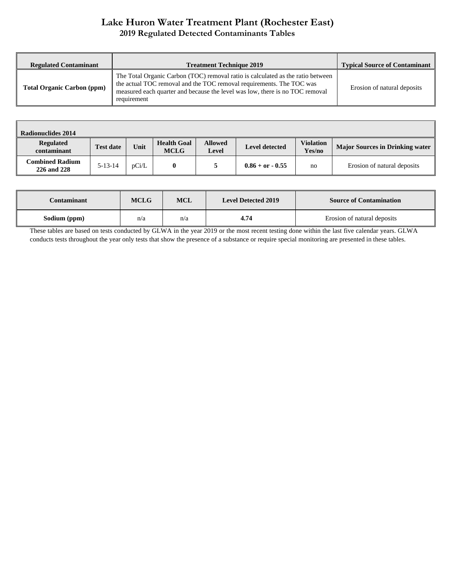#### **Lake Huron Water Treatment Plant (Rochester East) 2019 Regulated Detected Contaminants Tables**

| <b>Regulated Contaminant</b>      | <b>Treatment Technique 2019</b>                                                                                                                                                                                                                        | <b>Typical Source of Contaminant</b> |
|-----------------------------------|--------------------------------------------------------------------------------------------------------------------------------------------------------------------------------------------------------------------------------------------------------|--------------------------------------|
| <b>Total Organic Carbon (ppm)</b> | The Total Organic Carbon (TOC) removal ratio is calculated as the ratio between<br>the actual TOC removal and the TOC removal requirements. The TOC was<br>measured each quarter and because the level was low, there is no TOC removal<br>requirement | Erosion of natural deposits          |

| <b>Radionuclides 2014</b>             |                  |       |                                   |                         |                       |                            |                                        |
|---------------------------------------|------------------|-------|-----------------------------------|-------------------------|-----------------------|----------------------------|----------------------------------------|
| <b>Regulated</b><br>contaminant       | <b>Test date</b> | Unit  | <b>Health Goal</b><br><b>MCLG</b> | <b>Allowed</b><br>Level | <b>Level detected</b> | <b>Violation</b><br>Yes/no | <b>Major Sources in Drinking water</b> |
| <b>Combined Radium</b><br>226 and 228 | $5 - 13 - 14$    | pCi/L | 0                                 |                         | $0.86 + or - 0.55$    | no                         | Erosion of natural deposits            |

| Contaminant  | <b>MCLG</b> | MCL | <b>Level Detected 2019</b> | <b>Source of Contamination</b> |
|--------------|-------------|-----|----------------------------|--------------------------------|
| Sodium (ppm) | n/a         | n/a | 4.74                       | Erosion of natural deposits    |

These tables are based on tests conducted by GLWA in the year 2019 or the most recent testing done within the last five calendar years. GLWA conducts tests throughout the year only tests that show the presence of a substance or require special monitoring are presented in these tables.